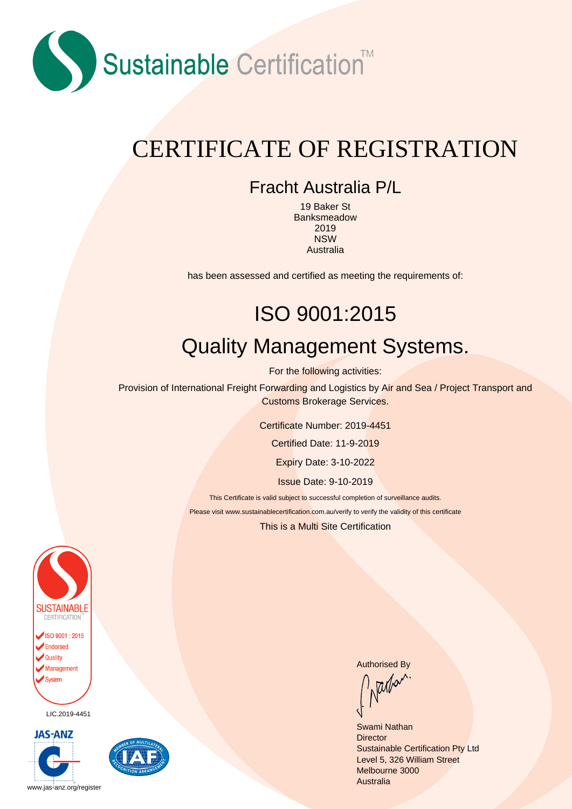

### CERTIFICATE OF REGISTRATION

#### Fracht Australia P/L

19 Baker St Banksmeadow 2019 NSW Australia

has been assessed and certified as meeting the requirements of:

# ISO 9001:2015 Quality Management Systems.

For the following activities:

Provision of International Freight Forwarding and Logistics by Air and Sea / Project Transport and Customs Brokerage Services.

Certificate Number: 2019-4451

Certified Date: 11-9-2019

Expiry Date: 3-10-2022

Issue Date: 9-10-2019

This Certificate is valid subject to successful completion of surveillance audits.

Please visit www.sustainablecertification.com.au/verify to verify the validity of this certificate

This is a Multi Site Certification



LIC.2019-4451





Authorised By<br>
National By

Swami Nathan **Director** Sustainable Certification Pty Ltd Level 5, 326 William Street Melbourne 3000 **Australia**